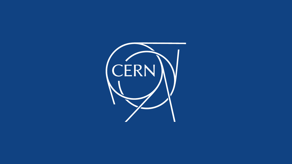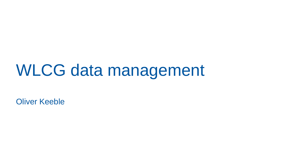#### WLCG data management

Oliver Keeble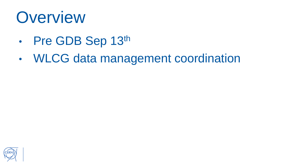#### **Overview**

- Pre GDB Sep 13th
- WLCG data management coordination

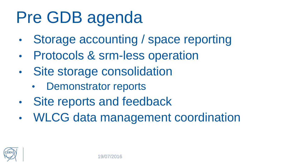## Pre GDB agenda

- Storage accounting / space reporting
- Protocols & srm-less operation
- Site storage consolidation
	- Demonstrator reports
- Site reports and feedback
- WLCG data management coordination

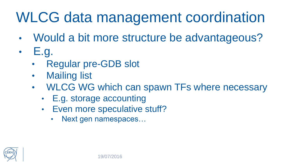#### WLCG data management coordination

- Would a bit more structure be advantageous?
- E.g.
	- Regular pre-GDB slot
	- Mailing list
	- WLCG WG which can spawn TFs where necessary
		- E.g. storage accounting
		- Even more speculative stuff?
			- Next gen namespaces…

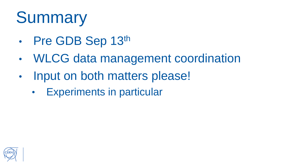## **Summary**

- Pre GDB Sep 13th
- WLCG data management coordination
- Input on both matters please!
	- Experiments in particular

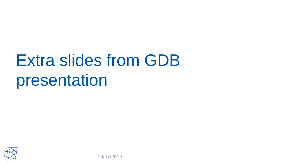# Extra slides from GDB presentation



19/07/2016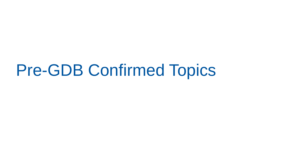#### Pre-GDB Confirmed Topics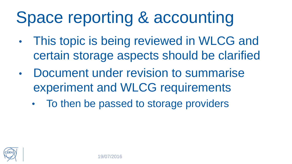## Space reporting & accounting

- This topic is being reviewed in WLCG and certain storage aspects should be clarified
- Document under revision to summarise experiment and WLCG requirements
	- To then be passed to storage providers

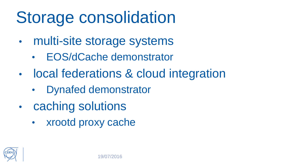## Storage consolidation

- multi-site storage systems
	- EOS/dCache demonstrator
- local federations & cloud integration
	- Dynafed demonstrator
- caching solutions
	- xrootd proxy cache

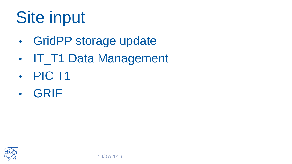## Site input

- GridPP storage update
- IT\_T1 Data Management
- PIC T1
- GRIF

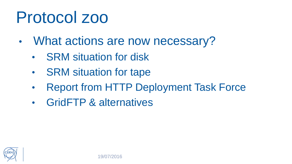#### Protocol zoo

- What actions are now necessary?
	- SRM situation for disk
	- SRM situation for tape
	- Report from HTTP Deployment Task Force
	- GridFTP & alternatives

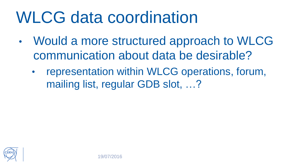### WLCG data coordination

- Would a more structured approach to WLCG communication about data be desirable?
	- representation within WLCG operations, forum, mailing list, regular GDB slot, ...?